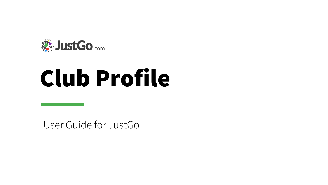

# Club Profile

User Guide for JustGo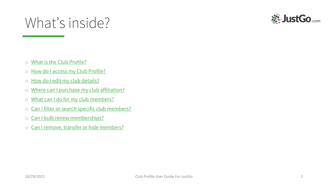#### What's inside?



- o [What is the Club Profile?](#page-2-0)
- o [How do I access my Club Profile?](#page-3-0)
- o [How do I edit my club details?](#page-4-0)
- o [Where can I purchase my club affiliation?](#page-5-0)
- o [What can I do for my club members?](#page-6-0)
- o [Can I filter or search specific club members?](#page-7-0)
- o [Can I bulk renew memberships?](#page-8-0)
- o [Can I remove, transfer or hide members?](#page-9-0)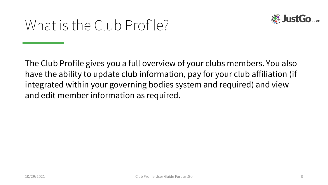

#### <span id="page-2-0"></span>What is the Club Profile?

The Club Profile gives you a full overview of your clubs members. You also have the ability to update club information, pay for your club affiliation (if integrated within your governing bodies system and required) and view and edit member information as required.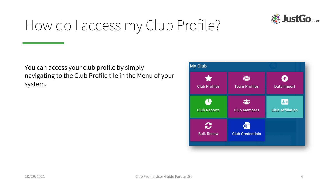

#### <span id="page-3-0"></span>How do I access my Club Profile?

You can access your club profile by simply navigating to the Club Profile tile in the Menu of your system.

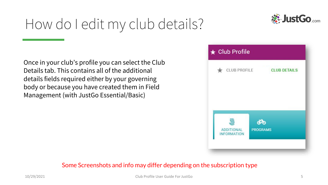## <span id="page-4-0"></span>How do I edit my club details?





#### Some Screenshots and info may differ depending on the subscription type

**St. JustGo.com**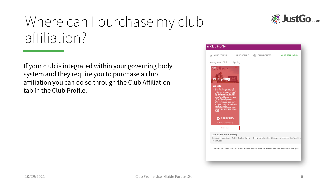#### <span id="page-5-0"></span>Where can I purchase my club affiliation?

If your club is integrated within your governing body system and they require you to purchase a club affiliation you can do so through the Club Affiliation tab in the Club Profile.



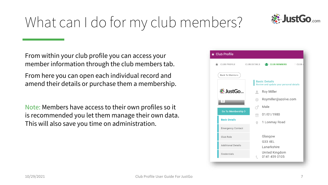

# <span id="page-6-0"></span>What can I do for my club members?

From within your club profile you can access your member information through the club members tab.

From here you can open each individual record and amend their details or purchase them a membership.

Note: Members have access to their own profiles so it is recommended you let them manage their own data. This will also save you time on administration.

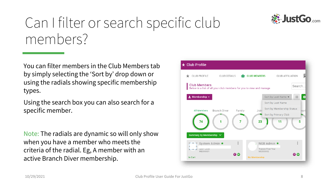

#### <span id="page-7-0"></span>Can I filter or search specific club members?

You can filter members in the Club Members tab by simply selecting the 'Sort by' drop down or using the radials showing specific membership types.

Using the search box you can also search for a specific member.

Note: The radials are dynamic so will only show when you have a member who meets the criteria of the radial. Eg, A member with an active Branch Diver membership.

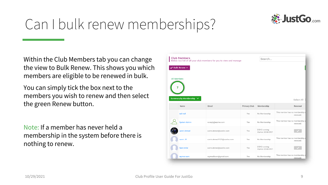

### <span id="page-8-0"></span>Can I bulk renew memberships?

Within the Club Members tab you can change the view to Bulk Renew. This shows you which members are eligible to be renewed in bulk.

You can simply tick the box next to the members you wish to renew and then select the green Renew button.

Note: If a member has never held a membership in the system before there is nothing to renew.

| <b>Club Members</b><br>Below is a list of all your club members for you to view and manage |                                 |                            |                     | Search                              |                                             |  |
|--------------------------------------------------------------------------------------------|---------------------------------|----------------------------|---------------------|-------------------------------------|---------------------------------------------|--|
| <b>All Members</b>                                                                         | Bulk Renew -                    |                            |                     |                                     |                                             |  |
|                                                                                            | Summary by Membership V<br>Name | Email                      | <b>Primary Club</b> | Membership                          | Select All<br>Renewal                       |  |
|                                                                                            | null null                       |                            | Yes                 | No Membership                       | This member has no membership s<br>renewed. |  |
|                                                                                            | <b>System Admin</b>             | noreply@azolve.com         | Yes                 | No Membership                       | This member has no membership s<br>renewed. |  |
|                                                                                            | samir ahmed                     | samir.ahmed@azolve.com     | Yes                 | DOHS running<br>Expires: 02/06/2021 |                                             |  |
|                                                                                            | samir JR                        | samir.ahmed1121@azolve.com | Yes                 | No Membership                       | This member has no membership s<br>renewed. |  |
|                                                                                            | Sam miller                      | samir.ahmed@azolve.com     | Yes                 | DOHS running<br>Expires: 02/06/2021 |                                             |  |
|                                                                                            |                                 |                            |                     |                                     | This member has no membership s             |  |